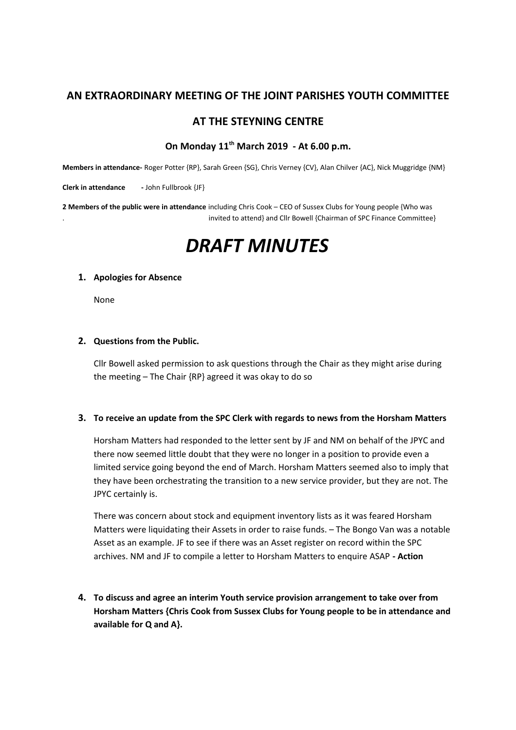## **AN EXTRAORDINARY MEETING OF THE JOINT PARISHES YOUTH COMMITTEE**

## **AT THE STEYNING CENTRE**

## **On Monday 11th March 2019 - At 6.00 p.m.**

**Members in attendance-** Roger Potter {RP}, Sarah Green {SG}, Chris Verney {CV}, Alan Chilver {AC}, Nick Muggridge {NM}

**Clerk in attendance** - John Fullbrook {JF}

**2 Members of the public were in attendance** including Chris Cook – CEO of Sussex Clubs for Young people {Who was . invited to attend} and Cllr Bowell {Chairman of SPC Finance Committee}

# *DRAFT MINUTES*

#### **1. Apologies for Absence**

None

#### **2. Questions from the Public.**

Cllr Bowell asked permission to ask questions through the Chair as they might arise during the meeting – The Chair {RP} agreed it was okay to do so

#### **3. To receive an update from the SPC Clerk with regards to news from the Horsham Matters**

Horsham Matters had responded to the letter sent by JF and NM on behalf of the JPYC and there now seemed little doubt that they were no longer in a position to provide even a limited service going beyond the end of March. Horsham Matters seemed also to imply that they have been orchestrating the transition to a new service provider, but they are not. The JPYC certainly is.

There was concern about stock and equipment inventory lists as it was feared Horsham Matters were liquidating their Assets in order to raise funds. – The Bongo Van was a notable Asset as an example. JF to see if there was an Asset register on record within the SPC archives. NM and JF to compile a letter to Horsham Matters to enquire ASAP **- Action**

**4. To discuss and agree an interim Youth service provision arrangement to take over from Horsham Matters {Chris Cook from Sussex Clubs for Young people to be in attendance and available for Q and A}.**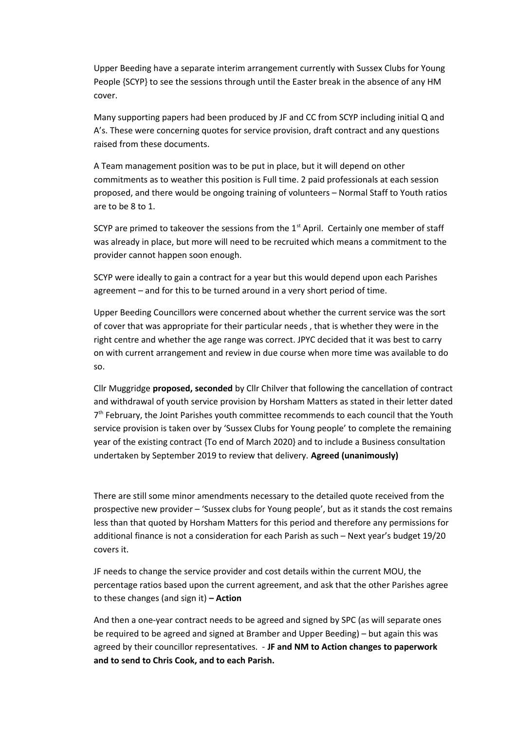Upper Beeding have a separate interim arrangement currently with Sussex Clubs for Young People {SCYP} to see the sessions through until the Easter break in the absence of any HM cover.

Many supporting papers had been produced by JF and CC from SCYP including initial Q and A's. These were concerning quotes for service provision, draft contract and any questions raised from these documents.

A Team management position was to be put in place, but it will depend on other commitments as to weather this position is Full time. 2 paid professionals at each session proposed, and there would be ongoing training of volunteers – Normal Staff to Youth ratios are to be 8 to 1.

SCYP are primed to takeover the sessions from the  $1<sup>st</sup>$  April. Certainly one member of staff was already in place, but more will need to be recruited which means a commitment to the provider cannot happen soon enough.

SCYP were ideally to gain a contract for a year but this would depend upon each Parishes agreement – and for this to be turned around in a very short period of time.

Upper Beeding Councillors were concerned about whether the current service was the sort of cover that was appropriate for their particular needs , that is whether they were in the right centre and whether the age range was correct. JPYC decided that it was best to carry on with current arrangement and review in due course when more time was available to do so.

Cllr Muggridge **proposed, seconded** by Cllr Chilver that following the cancellation of contract and withdrawal of youth service provision by Horsham Matters as stated in their letter dated 7<sup>th</sup> February, the Joint Parishes youth committee recommends to each council that the Youth service provision is taken over by 'Sussex Clubs for Young people' to complete the remaining year of the existing contract {To end of March 2020} and to include a Business consultation undertaken by September 2019 to review that delivery. **Agreed (unanimously)**

There are still some minor amendments necessary to the detailed quote received from the prospective new provider – 'Sussex clubs for Young people', but as it stands the cost remains less than that quoted by Horsham Matters for this period and therefore any permissions for additional finance is not a consideration for each Parish as such – Next year's budget 19/20 covers it.

JF needs to change the service provider and cost details within the current MOU, the percentage ratios based upon the current agreement, and ask that the other Parishes agree to these changes (and sign it) **– Action**

And then a one-year contract needs to be agreed and signed by SPC (as will separate ones be required to be agreed and signed at Bramber and Upper Beeding) – but again this was agreed by their councillor representatives. - **JF and NM to Action changes to paperwork and to send to Chris Cook, and to each Parish.**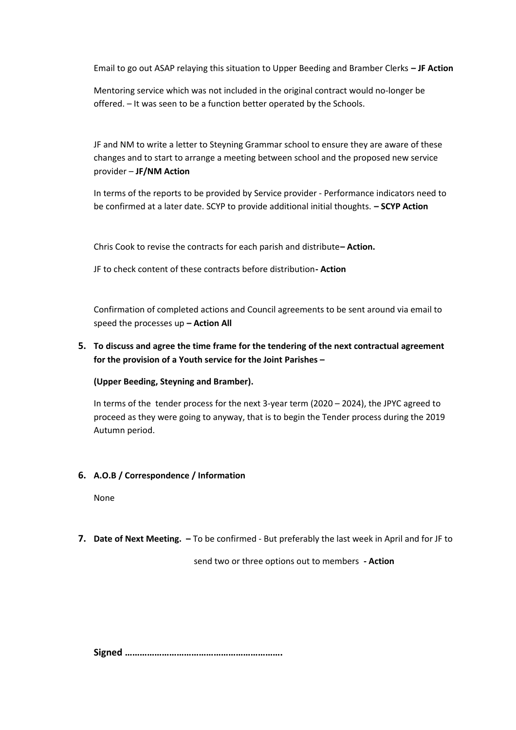Email to go out ASAP relaying this situation to Upper Beeding and Bramber Clerks **– JF Action**

Mentoring service which was not included in the original contract would no-longer be offered. – It was seen to be a function better operated by the Schools.

JF and NM to write a letter to Steyning Grammar school to ensure they are aware of these changes and to start to arrange a meeting between school and the proposed new service provider – **JF/NM Action**

In terms of the reports to be provided by Service provider - Performance indicators need to be confirmed at a later date. SCYP to provide additional initial thoughts. **– SCYP Action**

Chris Cook to revise the contracts for each parish and distribute**– Action.**

JF to check content of these contracts before distribution**- Action**

Confirmation of completed actions and Council agreements to be sent around via email to speed the processes up **– Action All**

## **5. To discuss and agree the time frame for the tendering of the next contractual agreement for the provision of a Youth service for the Joint Parishes –**

**(Upper Beeding, Steyning and Bramber).**

In terms of the tender process for the next 3-year term (2020 – 2024), the JPYC agreed to proceed as they were going to anyway, that is to begin the Tender process during the 2019 Autumn period.

## **6. A.O.B / Correspondence / Information**

None

**7. Date of Next Meeting. –** To be confirmed - But preferably the last week in April and for JF to

send two or three options out to members **- Action**

**Signed ……………………………………………………….**